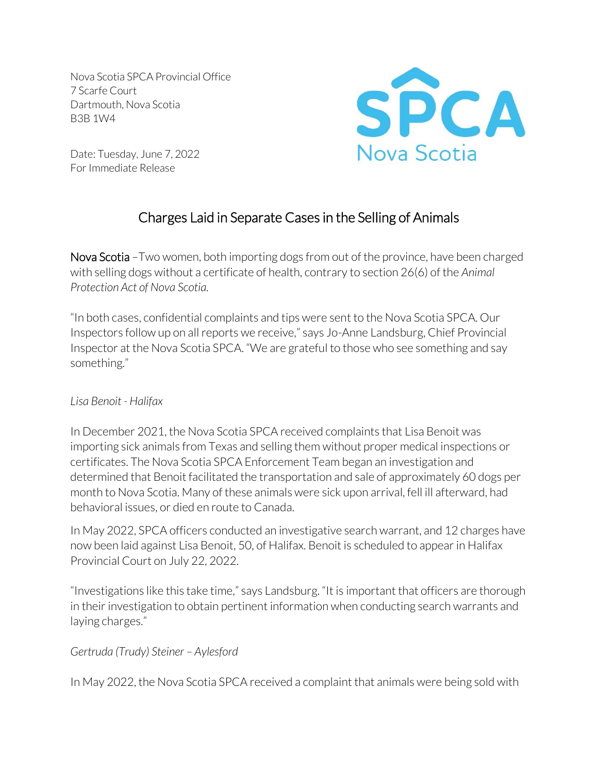Nova Scotia SPCA Provincial Office 7 Scarfe Court Dartmouth, Nova Scotia B3B 1W4



Date: Tuesday, June 7, 2022 For Immediate Release

# Charges Laid in Separate Cases in the Selling of Animals

Nova Scotia – Two women, both importing dogs from out of the province, have been charged with selling dogs without a certificate of health, contrary to section 26(6) of the *Animal Protection Act of Nova Scotia.* 

"In both cases, confidential complaints and tips were sent to the Nova Scotia SPCA. Our Inspectors follow up on all reports we receive," says Jo-Anne Landsburg, Chief Provincial Inspector at the Nova Scotia SPCA. "We are grateful to those who see something and say something."

#### *Lisa Benoit - Halifax*

In December 2021, the Nova Scotia SPCA received complaints that Lisa Benoit was importing sick animals from Texas and selling them without proper medical inspections or certificates. The Nova Scotia SPCA Enforcement Team began an investigation and determined that Benoit facilitated the transportation and sale of approximately 60 dogs per month to Nova Scotia. Many of these animals were sick upon arrival, fell ill afterward, had behavioral issues, or died en route to Canada.

In May 2022, SPCA officers conducted an investigative search warrant, and 12 charges have now been laid against Lisa Benoit, 50, of Halifax. Benoit is scheduled to appear in Halifax Provincial Court on July 22, 2022.

"Investigations like this take time," says Landsburg. "It is important that officers are thorough in their investigation to obtain pertinent information when conducting search warrants and laying charges."

#### *Gertruda (Trudy) Steiner – Aylesford*

In May 2022, the Nova Scotia SPCA received a complaint that animals were being sold with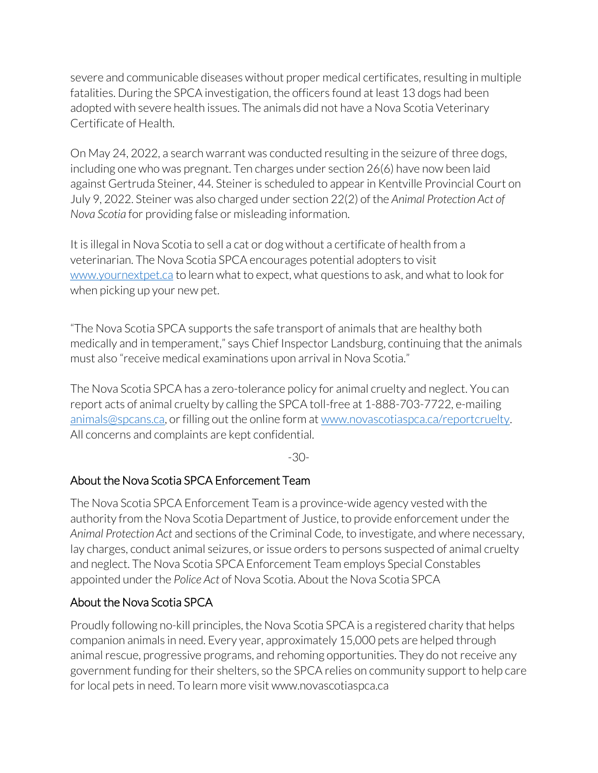severe and communicable diseases without proper medical certificates, resulting in multiple fatalities. During the SPCA investigation, the officers found at least 13 dogs had been adopted with severe health issues. The animals did not have a Nova Scotia Veterinary Certificate of Health.

On May 24, 2022, a search warrant was conducted resulting in the seizure of three dogs, including one who was pregnant. Ten charges under section 26(6) have now been laid against Gertruda Steiner, 44. Steiner is scheduled to appear in Kentville Provincial Court on July 9, 2022. Steiner was also charged under section 22(2) of the *Animal Protection Act of Nova Scotia* for providing false or misleading information.

It is illegal in Nova Scotia to sell a cat or dog without a certificate of health from a veterinarian. The Nova Scotia SPCA encourages potential adopters to visit [www.yournextpet.ca](http://www.yournextpet.ca/) to learn what to expect, what questions to ask, and what to look for when picking up your new pet.

"The Nova Scotia SPCA supports the safe transport of animals that are healthy both medically and in temperament," says Chief Inspector Landsburg, continuing that the animals must also "receive medical examinations upon arrival in Nova Scotia."

The Nova Scotia SPCA has a zero-tolerance policy for animal cruelty and neglect. You can report acts of animal cruelty by calling the SPCA toll-free at 1-888-703-7722, e-mailing [animals@spcans.ca,](mailto:animals@spcans.ca) or filling out the online form at www.novascotiaspca.ca/reportcruelty. All concerns and complaints are kept confidential.

-30-

### About the Nova Scotia SPCA Enforcement Team

The Nova Scotia SPCA Enforcement Team is a province-wide agency vested with the authority from the Nova Scotia Department of Justice, to provide enforcement under the *Animal Protection Act* and sections of the Criminal Code*,* to investigate, and where necessary, lay charges, conduct animal seizures, or issue orders to persons suspected of animal cruelty and neglect. The Nova Scotia SPCA Enforcement Team employs Special Constables appointed under the *Police Act* of Nova Scotia. About the Nova Scotia SPCA

#### About the Nova Scotia SPCA

Proudly following no-kill principles, the Nova Scotia SPCA is a registered charity that helps companion animals in need. Every year, approximately 15,000 pets are helped through animal rescue, progressive programs, and rehoming opportunities. They do not receive any government funding for their shelters, so the SPCA relies on community support to help care for local pets in need. To learn more visit www.novascotiaspca.ca